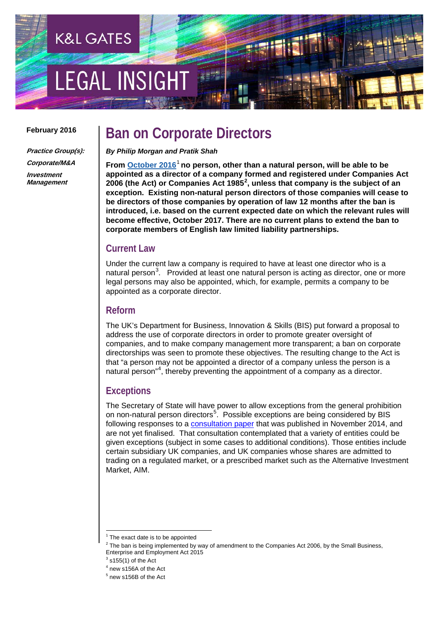# EGAL INSIGH

**K&L GATES** 

#### **February 2016**

**Practice Group(s): Corporate/M&A Investment Management**

## **Ban on Corporate Directors**

*By Philip Morgan and Pratik Shah*

**From [October 2016](https://www.gov.uk/government/news/the-small-business-enterprise-and-employment-bill-is-coming)**[1](#page-0-0) **no person, other than a natural person, will be able to be appointed as a director of a company formed and registered under Companies Act**  [2](#page-0-1)006 (the Act) or Companies Act 1985<sup>2</sup>, unless that company is the subject of an **exception. Existing non-natural person directors of those companies will cease to be directors of those companies by operation of law 12 months after the ban is introduced, i.e. based on the current expected date on which the relevant rules will become effective, October 2017. There are no current plans to extend the ban to corporate members of English law limited liability partnerships.**

#### **Current Law**

Under the current law a company is required to have at least one director who is a natural person<sup>[3](#page-0-2)</sup>. Provided at least one natural person is acting as director, one or more legal persons may also be appointed, which, for example, permits a company to be appointed as a corporate director.

#### **Reform**

The UK's Department for Business, Innovation & Skills (BIS) put forward a proposal to address the use of corporate directors in order to promote greater oversight of companies, and to make company management more transparent; a ban on corporate directorships was seen to promote these objectives. The resulting change to the Act is that "a person may not be appointed a director of a company unless the person is a natural person"<sup>[4](#page-0-3)</sup>, thereby preventing the appointment of a company as a director.

### **Exceptions**

The Secretary of State will have power to allow exceptions from the general prohibition on non-natural person directors<sup>[5](#page-0-4)</sup>. Possible exceptions are being considered by BIS following responses to a **consultation paper** that was published in November 2014, and are not yet finalised. That consultation contemplated that a variety of entities could be given exceptions (subject in some cases to additional conditions). Those entities include certain subsidiary UK companies, and UK companies whose shares are admitted to trading on a regulated market, or a prescribed market such as the Alternative Investment Market, AIM.

<span id="page-0-0"></span>The exact date is to be appointed

<span id="page-0-1"></span> $2$  The ban is being implemented by way of amendment to the Companies Act 2006, by the Small Business, Enterprise and Employment Act 2015

<span id="page-0-3"></span><span id="page-0-2"></span> $3$  s155(1) of the Act

<sup>4</sup> new s156A of the Act

<span id="page-0-4"></span><sup>5</sup> new s156B of the Act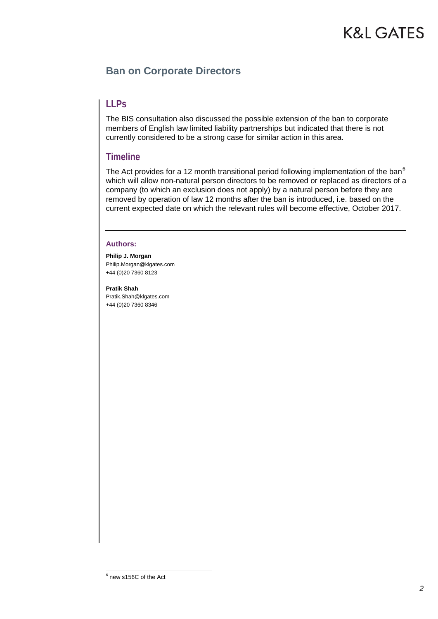# **K&L GATES**

### **Ban on Corporate Directors**

### **LLPs**

The BIS consultation also discussed the possible extension of the ban to corporate members of English law limited liability partnerships but indicated that there is not currently considered to be a strong case for similar action in this area.

#### **Timeline**

The Act provides for a 12 month transitional period following implementation of the ban $<sup>6</sup>$  $<sup>6</sup>$  $<sup>6</sup>$ </sup> which will allow non-natural person directors to be removed or replaced as directors of a company (to which an exclusion does not apply) by a natural person before they are removed by operation of law 12 months after the ban is introduced, i.e. based on the current expected date on which the relevant rules will become effective, October 2017.

#### **Authors:**

**Philip J. Morgan**  Philip.Morgan@klgates.com +44 (0)20 7360 8123

**Pratik Shah** [Pratik.Shah@klgates.com](mailto:Pratik.Shah@klgates.com) +44 (0)20 7360 8346

<span id="page-1-0"></span> $6$  new s156C of the Act